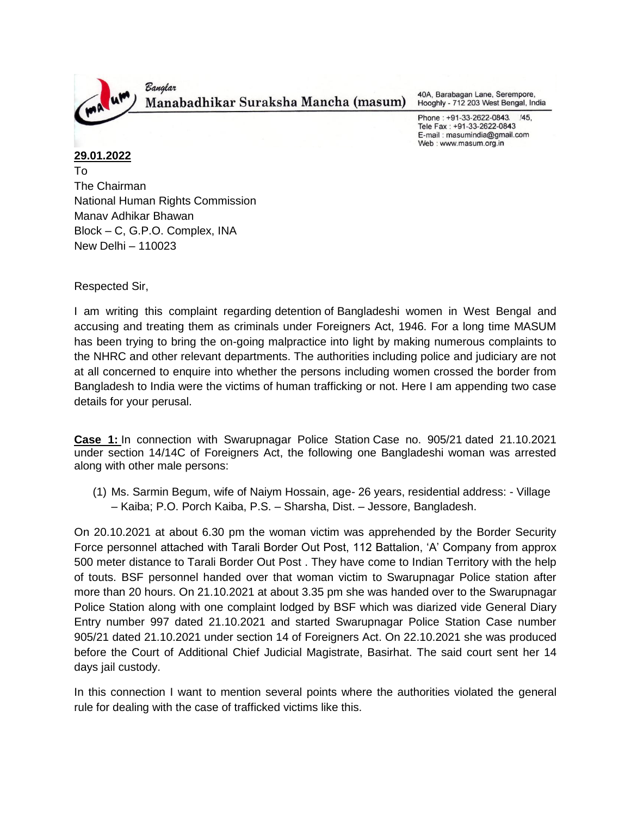

40A, Barabagan Lane, Serempore, Hooghly - 712 203 West Bengal, India

Phone: +91-33-2622-0843. /45, Tele Fax: +91-33-2622-0843 E-mail: masumindia@gmail.com Web: www.masum.org.in

**29.01.2022** To The Chairman National Human Rights Commission Manav Adhikar Bhawan Block – C, G.P.O. Complex, INA New Delhi – 110023

Respected Sir,

I am writing this complaint regarding detention of Bangladeshi women in West Bengal and accusing and treating them as criminals under Foreigners Act, 1946. For a long time MASUM has been trying to bring the on-going malpractice into light by making numerous complaints to the NHRC and other relevant departments. The authorities including police and judiciary are not at all concerned to enquire into whether the persons including women crossed the border from Bangladesh to India were the victims of human trafficking or not. Here I am appending two case details for your perusal.

**Case 1:** In connection with Swarupnagar Police Station Case no. 905/21 dated 21.10.2021 under section 14/14C of Foreigners Act, the following one Bangladeshi woman was arrested along with other male persons:

(1) Ms. Sarmin Begum, wife of Naiym Hossain, age- 26 years, residential address: - Village – Kaiba; P.O. Porch Kaiba, P.S. – Sharsha, Dist. – Jessore, Bangladesh.

On 20.10.2021 at about 6.30 pm the woman victim was apprehended by the Border Security Force personnel attached with Tarali Border Out Post, 112 Battalion, 'A' Company from approx 500 meter distance to Tarali Border Out Post . They have come to Indian Territory with the help of touts. BSF personnel handed over that woman victim to Swarupnagar Police station after more than 20 hours. On 21.10.2021 at about 3.35 pm she was handed over to the Swarupnagar Police Station along with one complaint lodged by BSF which was diarized vide General Diary Entry number 997 dated 21.10.2021 and started Swarupnagar Police Station Case number 905/21 dated 21.10.2021 under section 14 of Foreigners Act. On 22.10.2021 she was produced before the Court of Additional Chief Judicial Magistrate, Basirhat. The said court sent her 14 days jail custody.

In this connection I want to mention several points where the authorities violated the general rule for dealing with the case of trafficked victims like this.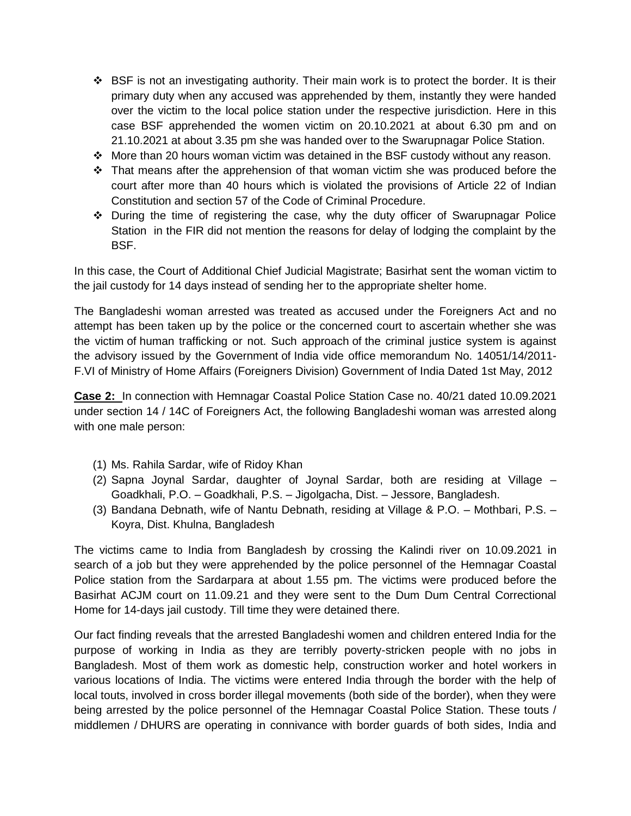- BSF is not an investigating authority. Their main work is to protect the border. It is their primary duty when any accused was apprehended by them, instantly they were handed over the victim to the local police station under the respective jurisdiction. Here in this case BSF apprehended the women victim on 20.10.2021 at about 6.30 pm and on 21.10.2021 at about 3.35 pm she was handed over to the Swarupnagar Police Station.
- $\div$  More than 20 hours woman victim was detained in the BSF custody without any reason.
- $\div$  That means after the apprehension of that woman victim she was produced before the court after more than 40 hours which is violated the provisions of Article 22 of Indian Constitution and section 57 of the Code of Criminal Procedure.
- $\div$  During the time of registering the case, why the duty officer of Swarupnagar Police Station in the FIR did not mention the reasons for delay of lodging the complaint by the BSF.

In this case, the Court of Additional Chief Judicial Magistrate; Basirhat sent the woman victim to the jail custody for 14 days instead of sending her to the appropriate shelter home.

The Bangladeshi woman arrested was treated as accused under the Foreigners Act and no attempt has been taken up by the police or the concerned court to ascertain whether she was the victim of human trafficking or not. Such approach of the criminal justice system is against the advisory issued by the Government of India vide office memorandum No. 14051/14/2011- F.VI of Ministry of Home Affairs (Foreigners Division) Government of India Dated 1st May, 2012

**Case 2:** In connection with Hemnagar Coastal Police Station Case no. 40/21 dated 10.09.2021 under section 14 / 14C of Foreigners Act, the following Bangladeshi woman was arrested along with one male person:

- (1) Ms. Rahila Sardar, wife of Ridoy Khan
- (2) Sapna Joynal Sardar, daughter of Joynal Sardar, both are residing at Village Goadkhali, P.O. – Goadkhali, P.S. – Jigolgacha, Dist. – Jessore, Bangladesh.
- (3) Bandana Debnath, wife of Nantu Debnath, residing at Village & P.O. Mothbari, P.S. Koyra, Dist. Khulna, Bangladesh

The victims came to India from Bangladesh by crossing the Kalindi river on 10.09.2021 in search of a job but they were apprehended by the police personnel of the Hemnagar Coastal Police station from the Sardarpara at about 1.55 pm. The victims were produced before the Basirhat ACJM court on 11.09.21 and they were sent to the Dum Dum Central Correctional Home for 14-days jail custody. Till time they were detained there.

Our fact finding reveals that the arrested Bangladeshi women and children entered India for the purpose of working in India as they are terribly poverty-stricken people with no jobs in Bangladesh. Most of them work as domestic help, construction worker and hotel workers in various locations of India. The victims were entered India through the border with the help of local touts, involved in cross border illegal movements (both side of the border), when they were being arrested by the police personnel of the Hemnagar Coastal Police Station. These touts / middlemen / DHURS are operating in connivance with border guards of both sides, India and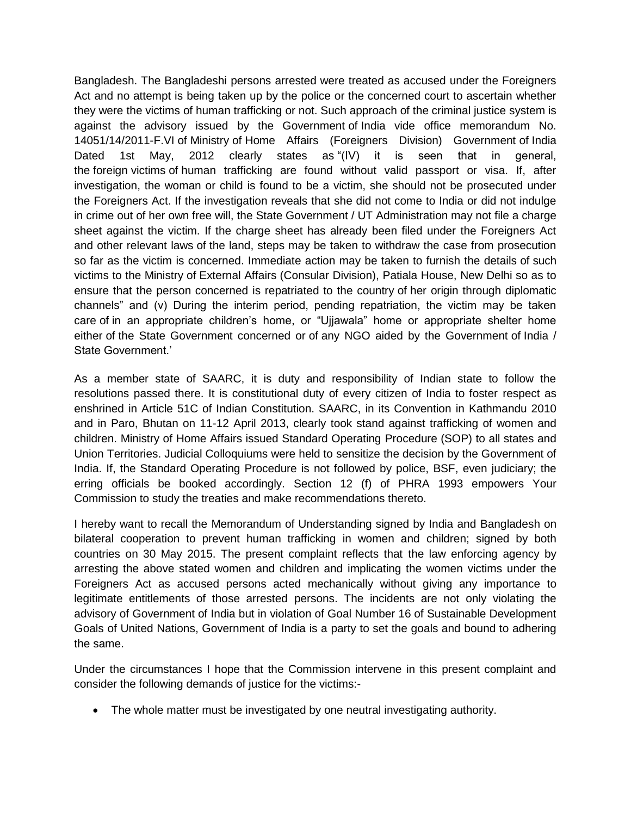Bangladesh. The Bangladeshi persons arrested were treated as accused under the Foreigners Act and no attempt is being taken up by the police or the concerned court to ascertain whether they were the victims of human trafficking or not. Such approach of the criminal justice system is against the advisory issued by the Government of India vide office memorandum No. 14051/14/2011-F.VI of Ministry of Home Affairs (Foreigners Division) Government of India Dated 1st May, 2012 clearly states as "(IV) it is seen that in general, the foreign victims of human trafficking are found without valid passport or visa. If, after investigation, the woman or child is found to be a victim, she should not be prosecuted under the Foreigners Act. If the investigation reveals that she did not come to India or did not indulge in crime out of her own free will, the State Government / UT Administration may not file a charge sheet against the victim. If the charge sheet has already been filed under the Foreigners Act and other relevant laws of the land, steps may be taken to withdraw the case from prosecution so far as the victim is concerned. Immediate action may be taken to furnish the details of such victims to the Ministry of External Affairs (Consular Division), Patiala House, New Delhi so as to ensure that the person concerned is repatriated to the country of her origin through diplomatic channels" and (v) During the interim period, pending repatriation, the victim may be taken care of in an appropriate children's home, or "Ujjawala" home or appropriate shelter home either of the State Government concerned or of any NGO aided by the Government of India / State Government.'

As a member state of SAARC, it is duty and responsibility of Indian state to follow the resolutions passed there. It is constitutional duty of every citizen of India to foster respect as enshrined in Article 51C of Indian Constitution. SAARC, in its Convention in Kathmandu 2010 and in Paro, Bhutan on 11-12 April 2013, clearly took stand against trafficking of women and children. Ministry of Home Affairs issued Standard Operating Procedure (SOP) to all states and Union Territories. Judicial Colloquiums were held to sensitize the decision by the Government of India. If, the Standard Operating Procedure is not followed by police, BSF, even judiciary; the erring officials be booked accordingly. Section 12 (f) of PHRA 1993 empowers Your Commission to study the treaties and make recommendations thereto.

I hereby want to recall the Memorandum of Understanding signed by India and Bangladesh on bilateral cooperation to prevent human trafficking in women and children; signed by both countries on 30 May 2015. The present complaint reflects that the law enforcing agency by arresting the above stated women and children and implicating the women victims under the Foreigners Act as accused persons acted mechanically without giving any importance to legitimate entitlements of those arrested persons. The incidents are not only violating the advisory of Government of India but in violation of Goal Number 16 of Sustainable Development Goals of United Nations, Government of India is a party to set the goals and bound to adhering the same.

Under the circumstances I hope that the Commission intervene in this present complaint and consider the following demands of justice for the victims:-

The whole matter must be investigated by one neutral investigating authority.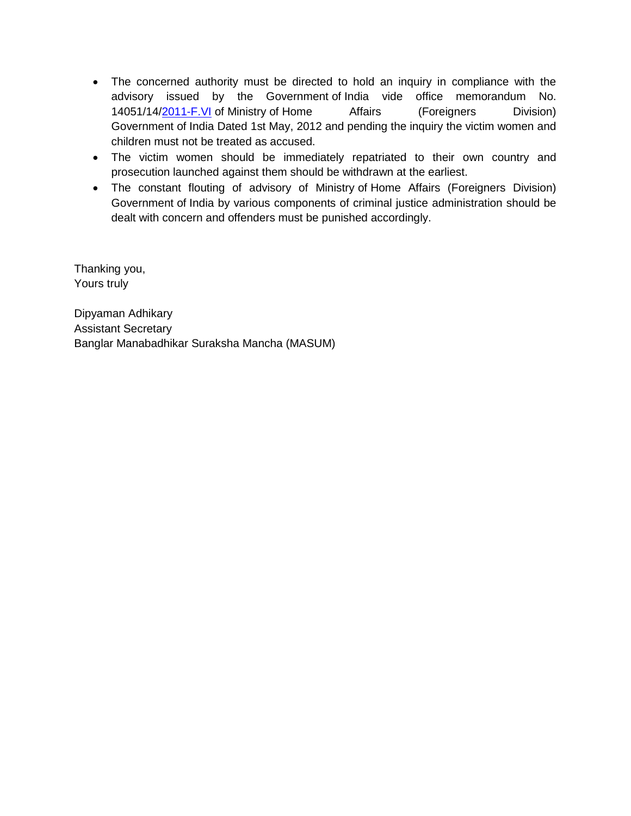- The concerned authority must be directed to hold an inquiry in compliance with the advisory issued by the Government of India vide office memorandum No. 14051/14[/2011-F.VI](http://2011-f.vi/) of Ministry of Home Affairs (Foreigners Division) Government of India Dated 1st May, 2012 and pending the inquiry the victim women and children must not be treated as accused.
- The victim women should be immediately repatriated to their own country and prosecution launched against them should be withdrawn at the earliest.
- The constant flouting of advisory of Ministry of Home Affairs (Foreigners Division) Government of India by various components of criminal justice administration should be dealt with concern and offenders must be punished accordingly.

Thanking you, Yours truly

Dipyaman Adhikary Assistant Secretary Banglar Manabadhikar Suraksha Mancha (MASUM)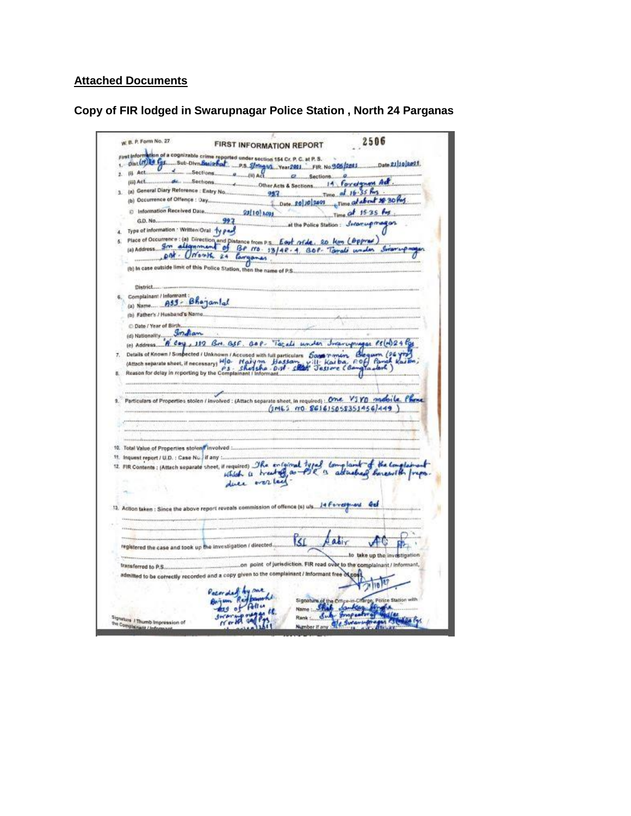## **Attached Documents**

**Copy of FIR lodged in Swarupnagar Police Station , North 24 Parganas**

W. B. P. Form No. 27 2506 **FIRST INFORMATION REPORT** Date 21 10 2021  $Time$  of  $16.35$  for Time of 15-35 for and a series G.D. No..... at the Police Station: Jenerupmagas 4. Type of information : Written/Oral 14 page (a) Address. The distance of the Past of A. 20 Key (Oppmar)<br>(a) Address. The dispersement of BP rrs. 13/42.4. 20 Key (Oppmar)<br>(b) in case outside limit of this Police Station, then the name of P.S. District.... 6. Complainant/Informant: Bhajamlal (b) Father's / Husband's Name... C Date / Year of Birth. O Date / Year of Birthman.<br>
(d) Nationality Smallam.<br>
(e) Address. "N. Cay, 112 R.m. asf., asf. Tacali wonder Jeran upingas RS (e) 24 Pas<br>
7. Details of Known / Suspected / Unknown / Accused with hill particulars Eager mai Particulars of Properties stolen / involved : (Attach separate sheet, in required) : One V3V0 mobile Phone  $(115.70.861615058351956/449)$ 10. Total Value of Properties stolen Tinvolved ... 11. Inquest report / U.D. : Case Nu. If any ... 13. Action taken : Since the above report reveals commission of offence (s) uls.... 14 Force plays de **ISI** patir  $A<sub>0</sub>$ registered the case and took up the investigation / directed... to take up the investigation on point of jurisdiction. FIR read over to the complainant / informant, transferred to P.S. admitted to be correctly recorded and a copy given to the complainant / Informant free of cor Signature of the Companion Chinese Blue State<br>Name : Such Somkers Finder **CIN Rivist** Aus of Bally re. Signature J Thumb Impression of<br>The Completest / Infrase and Number if any Ole Swamp of the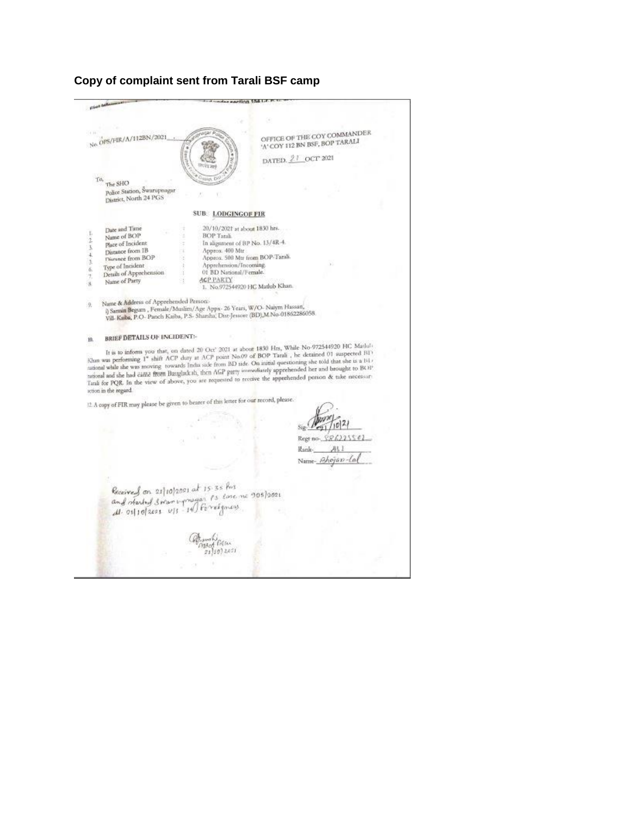## **Copy of complaint sent from Tarali BSF camp**

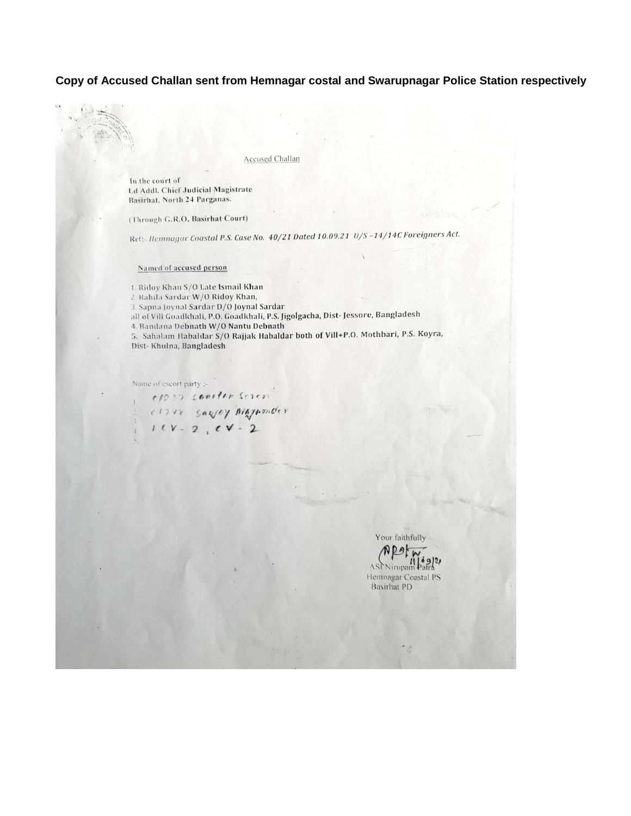## Copy of Accused Challan sent from Hemnagar costal and Swarupnagar Police Station respectively

**Accused Challan** 

In the court of Ld Addl. Chief Judicial Magistrate Basirhat, North 24 Parganas.

(Through G.R.O, Basirhat Court)

Ref:- Hemnagar Coastal P.S. Case No. 40/21 Dated 10.09.21 U/S-14/14C Foreigners Act.

Named of accused person

1. Ridoy Khan S/O Late Ismail Khan 2. Rahila Sardar W/O Ridoy Khan, 3. Sapna Joynal Sardar D/O Joynal Sardar all of Vill Goadkhali, P.O. Goadkhali, P.S. Jigolgacha, Dist-Jessore, Bangladesh 4. Bandana Debnath W/O Nantu Debnath 5. Sahalam Habaldar S/O Rajjak Habaldar both of Vill+P.O. Mothbari, P.S. Koyra, Dist-Khulna, Bangladesh

Name of escort party :-

 $e/222$  contin screp CIOTE SARVEY MAJNONOST

Your faithfully

**ASL Nirupam** Hemnagar Coastal PS **Basirhat PD**